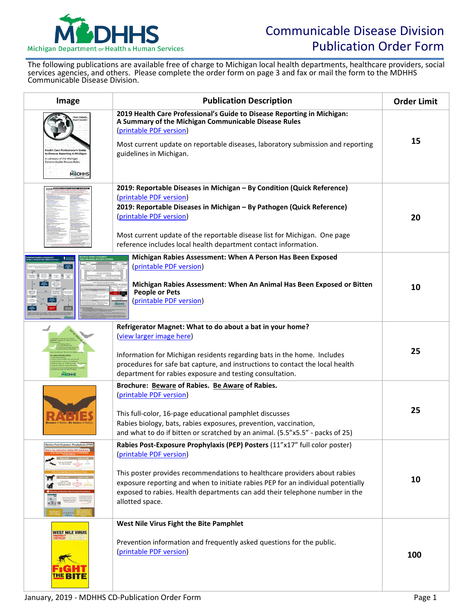

The following publications are available free of charge to Michigan local health departments, healthcare providers, social services agencies, and others. Please complete the order form on page 3 and fax or mail the form to the MDHHS Communicable Disease Division.

| Image                                                                                                              | <b>Publication Description</b>                                                                                                                                                                                                                                                                                                                                           | <b>Order Limit</b> |
|--------------------------------------------------------------------------------------------------------------------|--------------------------------------------------------------------------------------------------------------------------------------------------------------------------------------------------------------------------------------------------------------------------------------------------------------------------------------------------------------------------|--------------------|
| to Disease Reporting in Michigar<br>summary of the Michigan<br>nicable Disease Rules<br><b>M</b> <sup>L</sup> DHHS | 2019 Health Care Professional's Guide to Disease Reporting in Michigan:<br>A Summary of the Michigan Communicable Disease Rules<br>(printable PDF version)<br>Most current update on reportable diseases, laboratory submission and reporting<br>guidelines in Michigan.                                                                                                 | 15                 |
| 2019 0000                                                                                                          | 2019: Reportable Diseases in Michigan - By Condition (Quick Reference)<br>(printable PDF version)<br>2019: Reportable Diseases in Michigan - By Pathogen (Quick Reference)<br>(printable PDF version)<br>Most current update of the reportable disease list for Michigan. One page<br>reference includes local health department contact information.                    | 20                 |
| - 30                                                                                                               | Michigan Rabies Assessment: When A Person Has Been Exposed<br>(printable PDF version)<br>Michigan Rabies Assessment: When An Animal Has Been Exposed or Bitten<br><b>People or Pets</b><br>(printable PDF version)<br><b>T&amp;DHHS</b>                                                                                                                                  | 10                 |
| <b>M&amp;DHHS</b>                                                                                                  | Refrigerator Magnet: What to do about a bat in your home?<br>(view larger image here)<br>Information for Michigan residents regarding bats in the home. Includes<br>procedures for safe bat capture, and instructions to contact the local health<br>department for rabies exposure and testing consultation.                                                            | 25                 |
|                                                                                                                    | Brochure: Beware of Rabies. Be Aware of Rabies.<br>(printable PDF version)<br>This full-color, 16-page educational pamphlet discusses<br>Rabies biology, bats, rabies exposures, prevention, vaccination,<br>and what to do if bitten or scratched by an animal. (5.5"x5.5" - packs of 25)                                                                               | 25                 |
| <b>Rabies Post-Exposure Prophylaxis (PEP)</b><br>tter Rabies PEP Ask/                                              | Rabies Post-Exposure Prophylaxis (PEP) Posters (11"x17" full color poster)<br>(printable PDF version)<br>This poster provides recommendations to healthcare providers about rabies<br>exposure reporting and when to initiate rabies PEP for an individual potentially<br>exposed to rabies. Health departments can add their telephone number in the<br>allotted space. | 10                 |
| <b>WEST NILE VIRUS</b>                                                                                             | West Nile Virus Fight the Bite Pamphlet<br>Prevention information and frequently asked questions for the public.<br>(printable PDF version)                                                                                                                                                                                                                              | 100                |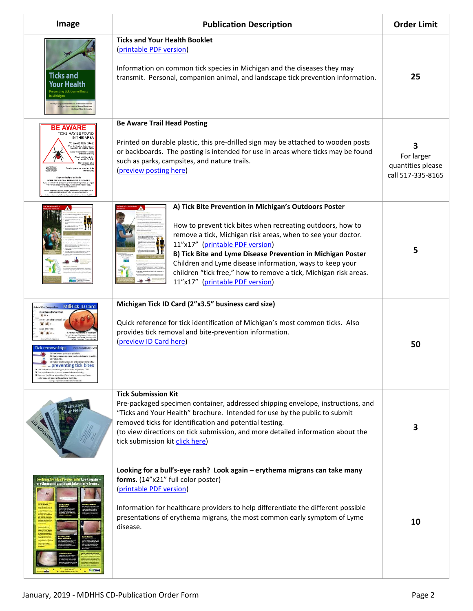| Image                                                                                                                                                                                                                                                                                                                                                                                                                             | <b>Publication Description</b>                                                                                                                                                                                                                                                                                                                                                                                                                           | <b>Order Limit</b>                                        |
|-----------------------------------------------------------------------------------------------------------------------------------------------------------------------------------------------------------------------------------------------------------------------------------------------------------------------------------------------------------------------------------------------------------------------------------|----------------------------------------------------------------------------------------------------------------------------------------------------------------------------------------------------------------------------------------------------------------------------------------------------------------------------------------------------------------------------------------------------------------------------------------------------------|-----------------------------------------------------------|
| <b>Ticks and</b><br>Your Health<br>Preventing tick-borne illnes                                                                                                                                                                                                                                                                                                                                                                   | <b>Ticks and Your Health Booklet</b><br>(printable PDF version)<br>Information on common tick species in Michigan and the diseases they may<br>transmit. Personal, companion animal, and landscape tick prevention information.                                                                                                                                                                                                                          | 25                                                        |
| BE AWARE<br><b>TICKS MAY BE FOUND</b><br>IN THIS AREA<br>To avoid tick bites:<br><b>ICKS CAN TRANSMIT DISEASES</b>                                                                                                                                                                                                                                                                                                                | <b>Be Aware Trail Head Posting</b><br>Printed on durable plastic, this pre-drilled sign may be attached to wooden posts<br>or backboards. The posting is intended for use in areas where ticks may be found<br>such as parks, campsites, and nature trails.<br>(preview posting here)                                                                                                                                                                    | З<br>For larger<br>quantities please<br>call 517-335-8165 |
|                                                                                                                                                                                                                                                                                                                                                                                                                                   | A) Tick Bite Prevention in Michigan's Outdoors Poster<br>How to prevent tick bites when recreating outdoors, how to<br>remove a tick, Michigan risk areas, when to see your doctor.<br>11"x17" (printable PDF version)<br>B) Tick Bite and Lyme Disease Prevention in Michigan Poster<br>Children and Lyme disease information, ways to keep your<br>children "tick free," how to remove a tick, Michigan risk areas.<br>11"x17" (printable PDF version) | 5                                                         |
| <b>MINTick ID Card</b><br>Blacklegged (Deer) tick<br>8.4.1<br><b>Tick removal tips</b><br>Remove as quickly as possible<br>D Use tweezers to grasp the head<br>D Full conth<br>preventing tick bites<br>D Use a repellent containing no more than 30 percent DEET<br>D Use repellents that contain permethrin on clothing.<br>D See your healthcare provider if you have sympto<br>rash, body aches or fatigue after a tick bite. | Michigan Tick ID Card (2"x3.5" business card size)<br>Quick reference for tick identification of Michigan's most common ticks. Also<br>provides tick removal and bite-prevention information.<br>(preview ID Card here)                                                                                                                                                                                                                                  | 50                                                        |
| icks and                                                                                                                                                                                                                                                                                                                                                                                                                          | <b>Tick Submission Kit</b><br>Pre-packaged specimen container, addressed shipping envelope, instructions, and<br>"Ticks and Your Health" brochure. Intended for use by the public to submit<br>removed ticks for identification and potential testing.<br>(to view directions on tick submission, and more detailed information about the<br>tick submission kit click here)                                                                             | 3                                                         |
| Looking for a bull's-eye rash? Look again –<br>erythema migrans can take many forms.                                                                                                                                                                                                                                                                                                                                              | Looking for a bull's-eye rash? Look again - erythema migrans can take many<br>forms. (14"x21" full color poster)<br>(printable PDF version)<br>Information for healthcare providers to help differentiate the different possible<br>presentations of erythema migrans, the most common early symptom of Lyme<br>disease.                                                                                                                                 | 10                                                        |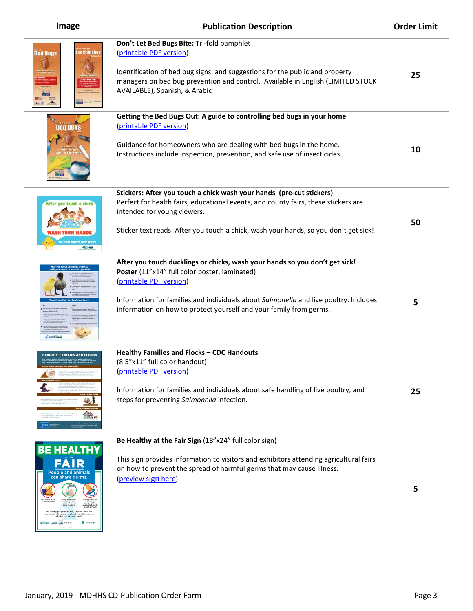| Image                                                                      | <b>Publication Description</b>                                                                                                                                                                                                                                                                                        | <b>Order Limit</b> |
|----------------------------------------------------------------------------|-----------------------------------------------------------------------------------------------------------------------------------------------------------------------------------------------------------------------------------------------------------------------------------------------------------------------|--------------------|
| las Chinches<br><b>Bed Bugs</b>                                            | Don't Let Bed Bugs Bite: Tri-fold pamphlet<br>(printable PDF version)<br>Identification of bed bug signs, and suggestions for the public and property<br>managers on bed bug prevention and control. Available in English (LIMITED STOCK<br>AVAILABLE), Spanish, & Arabic                                             | 25                 |
| Bed Bugs                                                                   | Getting the Bed Bugs Out: A guide to controlling bed bugs in your home<br>(printable PDF version)<br>Guidance for homeowners who are dealing with bed bugs in the home.<br>Instructions include inspection, prevention, and safe use of insecticides.                                                                 | 10                 |
| After you touch a chick                                                    | Stickers: After you touch a chick wash your hands (pre-cut stickers)<br>Perfect for health fairs, educational events, and county fairs, these stickers are<br>intended for young viewers.<br>Sticker text reads: After you touch a chick, wash your hands, so you don't get sick!                                     | 50                 |
|                                                                            | After you touch ducklings or chicks, wash your hands so you don't get sick!<br>Poster (11"x14" full color poster, laminated)<br>(printable PDF version)<br>Information for families and individuals about Salmonella and live poultry. Includes<br>information on how to protect yourself and your family from germs. | 5                  |
| <b>HEALTHY FAMILIES AND FLOCKS</b>                                         | Healthy Families and Flocks - CDC Handouts<br>(8.5"x11" full color handout)<br>(printable PDF version)<br>Information for families and individuals about safe handling of live poultry, and<br>steps for preventing Salmonella infection.                                                                             | 25                 |
| <b>BE HEALTHY</b><br>FÄIR<br><b>People and animals</b><br>can share germs. | Be Healthy at the Fair Sign (18"x24" full color sign)<br>This sign provides information to visitors and exhibitors attending agricultural fairs<br>on how to prevent the spread of harmful germs that may cause illness.<br>(preview sign here)                                                                       | 5                  |